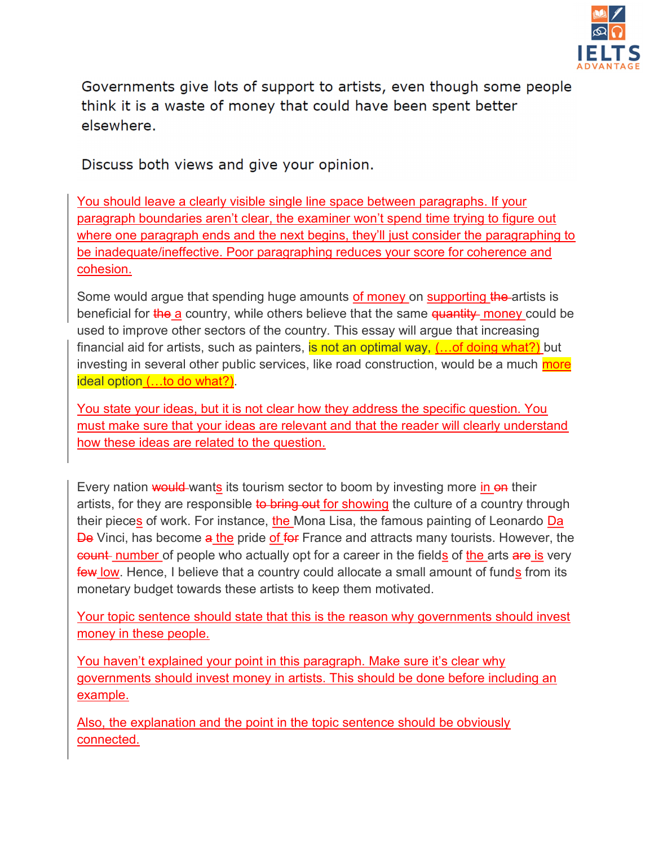

Governments give lots of support to artists, even though some people think it is a waste of money that could have been spent better elsewhere.

Discuss both views and give your opinion.

You should leave a clearly visible single line space between paragraphs. If your paragraph boundaries aren't clear, the examiner won't spend time trying to figure out where one paragraph ends and the next begins, they'll just consider the paragraphing to be inadequate/ineffective. Poor paragraphing reduces your score for coherence and cohesion.

Some would argue that spending huge amounts of money on supporting the artists is beneficial for the a country, while others believe that the same  $\frac{1}{4}$  money could be used to improve other sectors of the country. This essay will argue that increasing financial aid for artists, such as painters, is not an optimal way,  $(...$  of doing what?) but investing in several other public services, like road construction, would be a much more ideal option (...to do what?).

You state your ideas, but it is not clear how they address the specific question. You must make sure that your ideas are relevant and that the reader will clearly understand how these ideas are related to the question.

Every nation would wants its tourism sector to boom by investing more in on their artists, for they are responsible to bring out for showing the culture of a country through their pieces of work. For instance, the Mona Lisa, the famous painting of Leonardo Da De Vinci, has become a the pride of for France and attracts many tourists. However, the count number of people who actually opt for a career in the fields of the arts are is very few low. Hence, I believe that a country could allocate a small amount of funds from its monetary budget towards these artists to keep them motivated.

Your topic sentence should state that this is the reason why governments should invest money in these people.

You haven't explained your point in this paragraph. Make sure it's clear why governments should invest money in artists. This should be done before including an example.

Also, the explanation and the point in the topic sentence should be obviously connected.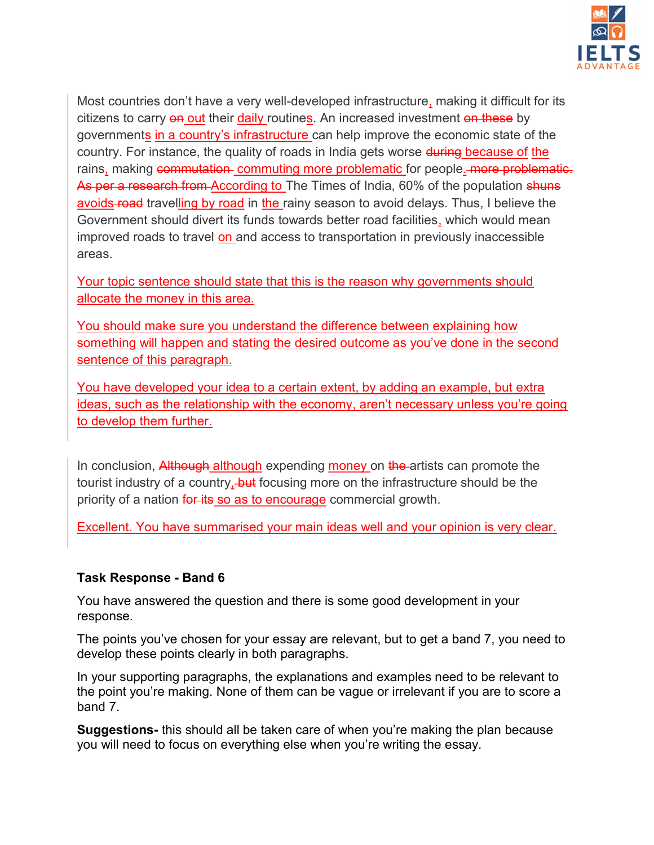

Most countries don't have a very well-developed infrastructure, making it difficult for its citizens to carry on out their daily routines. An increased investment on these by governments in a country's infrastructure can help improve the economic state of the country. For instance, the quality of roads in India gets worse during because of the rains, making commutation commuting more problematic for people. more problematic. As per a research from According to The Times of India, 60% of the population shuns avoids-road travelling by road in the rainy season to avoid delays. Thus, I believe the Government should divert its funds towards better road facilities, which would mean improved roads to travel on and access to transportation in previously inaccessible areas.

Your topic sentence should state that this is the reason why governments should allocate the money in this area.

You should make sure you understand the difference between explaining how something will happen and stating the desired outcome as you've done in the second sentence of this paragraph.

You have developed your idea to a certain extent, by adding an example, but extra ideas, such as the relationship with the economy, aren't necessary unless you're going to develop them further.

In conclusion, Although although expending money on the artists can promote the tourist industry of a country, but focusing more on the infrastructure should be the priority of a nation for its so as to encourage commercial growth.

Excellent. You have summarised your main ideas well and your opinion is very clear.

#### Task Response - Band 6

You have answered the question and there is some good development in your response.

The points you've chosen for your essay are relevant, but to get a band 7, you need to develop these points clearly in both paragraphs.

In your supporting paragraphs, the explanations and examples need to be relevant to the point you're making. None of them can be vague or irrelevant if you are to score a band 7.

Suggestions- this should all be taken care of when you're making the plan because you will need to focus on everything else when you're writing the essay.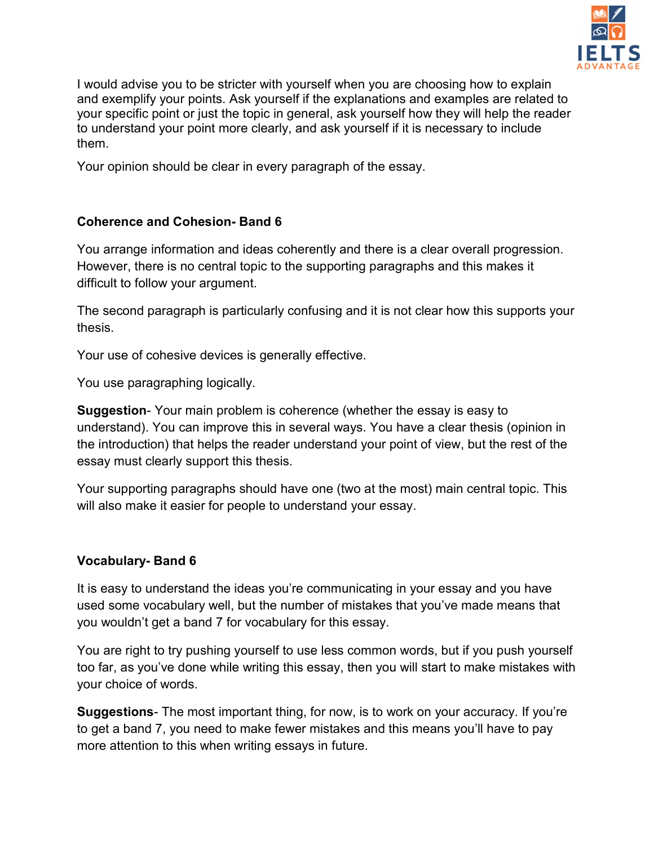

I would advise you to be stricter with yourself when you are choosing how to explain and exemplify your points. Ask yourself if the explanations and examples are related to your specific point or just the topic in general, ask yourself how they will help the reader to understand your point more clearly, and ask yourself if it is necessary to include them.

Your opinion should be clear in every paragraph of the essay.

## Coherence and Cohesion- Band 6

You arrange information and ideas coherently and there is a clear overall progression. However, there is no central topic to the supporting paragraphs and this makes it difficult to follow your argument.

The second paragraph is particularly confusing and it is not clear how this supports your thesis.

Your use of cohesive devices is generally effective.

You use paragraphing logically.

Suggestion- Your main problem is coherence (whether the essay is easy to understand). You can improve this in several ways. You have a clear thesis (opinion in the introduction) that helps the reader understand your point of view, but the rest of the essay must clearly support this thesis.

Your supporting paragraphs should have one (two at the most) main central topic. This will also make it easier for people to understand your essay.

# Vocabulary- Band 6

It is easy to understand the ideas you're communicating in your essay and you have used some vocabulary well, but the number of mistakes that you've made means that you wouldn't get a band 7 for vocabulary for this essay.

You are right to try pushing yourself to use less common words, but if you push yourself too far, as you've done while writing this essay, then you will start to make mistakes with your choice of words.

Suggestions- The most important thing, for now, is to work on your accuracy. If you're to get a band 7, you need to make fewer mistakes and this means you'll have to pay more attention to this when writing essays in future.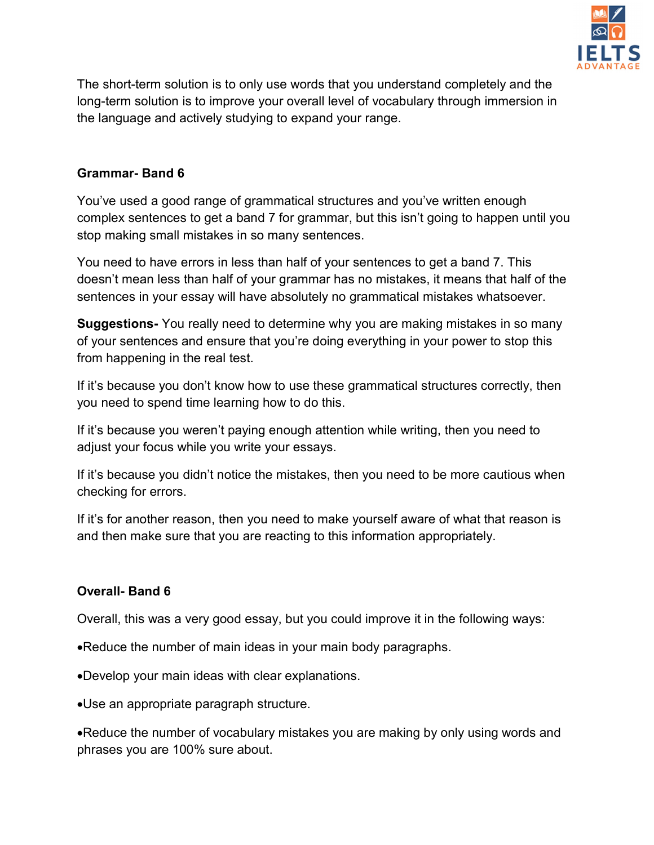

The short-term solution is to only use words that you understand completely and the long-term solution is to improve your overall level of vocabulary through immersion in the language and actively studying to expand your range.

## Grammar- Band 6

You've used a good range of grammatical structures and you've written enough complex sentences to get a band 7 for grammar, but this isn't going to happen until you stop making small mistakes in so many sentences.

You need to have errors in less than half of your sentences to get a band 7. This doesn't mean less than half of your grammar has no mistakes, it means that half of the sentences in your essay will have absolutely no grammatical mistakes whatsoever.

**Suggestions-** You really need to determine why you are making mistakes in so many of your sentences and ensure that you're doing everything in your power to stop this from happening in the real test.

If it's because you don't know how to use these grammatical structures correctly, then you need to spend time learning how to do this.

If it's because you weren't paying enough attention while writing, then you need to adjust your focus while you write your essays.

If it's because you didn't notice the mistakes, then you need to be more cautious when checking for errors.

If it's for another reason, then you need to make yourself aware of what that reason is and then make sure that you are reacting to this information appropriately.

## Overall- Band 6

Overall, this was a very good essay, but you could improve it in the following ways:

- Reduce the number of main ideas in your main body paragraphs.
- Develop your main ideas with clear explanations.
- Use an appropriate paragraph structure.

Reduce the number of vocabulary mistakes you are making by only using words and phrases you are 100% sure about.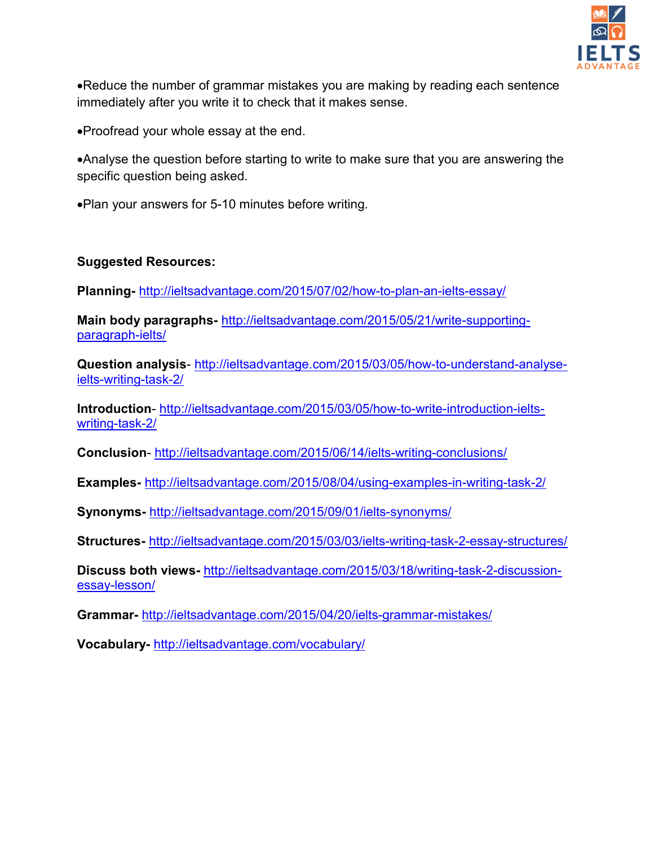

Reduce the number of grammar mistakes you are making by reading each sentence immediately after you write it to check that it makes sense.

Proofread your whole essay at the end.

Analyse the question before starting to write to make sure that you are answering the specific question being asked.

Plan your answers for 5-10 minutes before writing.

## Suggested Resources:

Planning- http://ieltsadvantage.com/2015/07/02/how-to-plan-an-ielts-essay/

Main body paragraphs- http://ieltsadvantage.com/2015/05/21/write-supportingparagraph-ielts/

Question analysis- http://ieltsadvantage.com/2015/03/05/how-to-understand-analyseielts-writing-task-2/

Introduction- http://ieltsadvantage.com/2015/03/05/how-to-write-introduction-ieltswriting-task-2/

Conclusion- http://ieltsadvantage.com/2015/06/14/ielts-writing-conclusions/

Examples- http://ieltsadvantage.com/2015/08/04/using-examples-in-writing-task-2/

Synonyms- http://ieltsadvantage.com/2015/09/01/ielts-synonyms/

Structures- http://ieltsadvantage.com/2015/03/03/ielts-writing-task-2-essay-structures/

Discuss both views- http://ieltsadvantage.com/2015/03/18/writing-task-2-discussionessay-lesson/

Grammar- http://ieltsadvantage.com/2015/04/20/ielts-grammar-mistakes/

Vocabulary- http://ieltsadvantage.com/vocabulary/